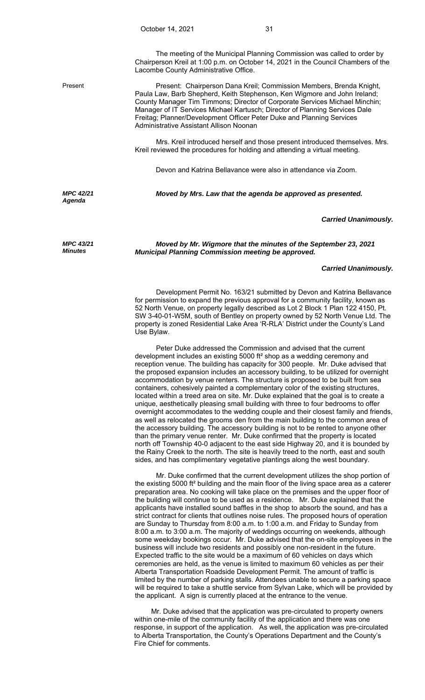Lacombe County Administrative Office.

Present Present: Chairperson Dana Kreil; Commission Members, Brenda Knight, Paula Law, Barb Shepherd, Keith Stephenson, Ken Wigmore and John Ireland; County Manager Tim Timmons; Director of Corporate Services Michael Minchin; Manager of IT Services Michael Kartusch; Director of Planning Services Dale Freitag; Planner/Development Officer Peter Duke and Planning Services Administrative Assistant Allison Noonan

> Mrs. Kreil introduced herself and those present introduced themselves. Mrs. Kreil reviewed the procedures for holding and attending a virtual meeting.

Devon and Katrina Bellavance were also in attendance via Zoom.

*MPC 42/21 Agenda* 

*MPC 43/21 Minutes*

# *Moved by Mrs. Law that the agenda be approved as presented.*

### *Carried Unanimously.*

*Moved by Mr. Wigmore that the minutes of the September 23, 2021 Municipal Planning Commission meeting be approved.* 

## *Carried Unanimously.*

 Development Permit No. 163/21 submitted by Devon and Katrina Bellavance for permission to expand the previous approval for a community facility, known as 52 North Venue, on property legally described as Lot 2 Block 1 Plan 122 4150, Pt. SW 3-40-01-W5M, south of Bentley on property owned by 52 North Venue Ltd. The property is zoned Residential Lake Area 'R-RLA' District under the County's Land Use Bylaw.

 Peter Duke addressed the Commission and advised that the current development includes an existing 5000 ft² shop as a wedding ceremony and reception venue. The building has capacity for 300 people. Mr. Duke advised that the proposed expansion includes an accessory building, to be utilized for overnight accommodation by venue renters. The structure is proposed to be built from sea containers, cohesively painted a complementary color of the existing structures, located within a treed area on site. Mr. Duke explained that the goal is to create a unique, aesthetically pleasing small building with three to four bedrooms to offer overnight accommodates to the wedding couple and their closest family and friends, as well as relocated the grooms den from the main building to the common area of the accessory building. The accessory building is not to be rented to anyone other than the primary venue renter. Mr. Duke confirmed that the property is located north off Township 40-0 adjacent to the east side Highway 20, and it is bounded by the Rainy Creek to the north. The site is heavily treed to the north, east and south sides, and has complimentary vegetative plantings along the west boundary.

 Mr. Duke confirmed that the current development utilizes the shop portion of the existing 5000 ft² building and the main floor of the living space area as a caterer preparation area. No cooking will take place on the premises and the upper floor of the building will continue to be used as a residence. Mr. Duke explained that the applicants have installed sound baffles in the shop to absorb the sound, and has a strict contract for clients that outlines noise rules. The proposed hours of operation are Sunday to Thursday from 8:00 a.m. to 1:00 a.m. and Friday to Sunday from 8:00 a.m. to 3:00 a.m. The majority of weddings occurring on weekends, although some weekday bookings occur. Mr. Duke advised that the on-site employees in the business will include two residents and possibly one non-resident in the future. Expected traffic to the site would be a maximum of 60 vehicles on days which ceremonies are held, as the venue is limited to maximum 60 vehicles as per their Alberta Transportation Roadside Development Permit. The amount of traffic is limited by the number of parking stalls. Attendees unable to secure a parking space will be required to take a shuttle service from Sylvan Lake, which will be provided by the applicant. A sign is currently placed at the entrance to the venue.

 Mr. Duke advised that the application was pre-circulated to property owners within one-mile of the community facility of the application and there was one response, in support of the application. As well, the application was pre-circulated to Alberta Transportation, the County's Operations Department and the County's Fire Chief for comments.

The meeting of the Municipal Planning Commission was called to order by Chairperson Kreil at 1:00 p.m. on October 14, 2021 in the Council Chambers of the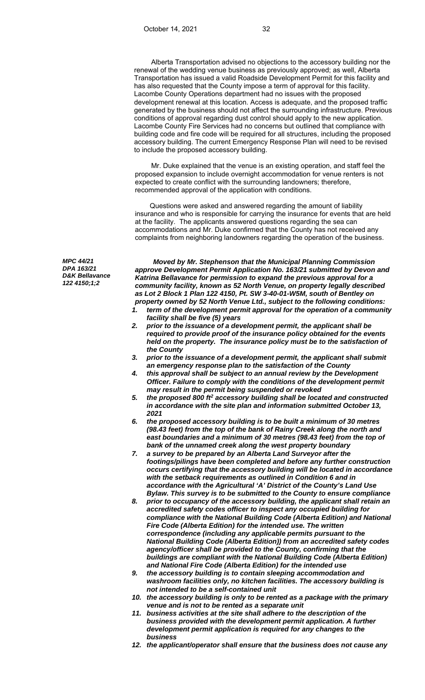Alberta Transportation advised no objections to the accessory building nor the renewal of the wedding venue business as previously approved; as well, Alberta Transportation has issued a valid Roadside Development Permit for this facility and has also requested that the County impose a term of approval for this facility. Lacombe County Operations department had no issues with the proposed development renewal at this location. Access is adequate, and the proposed traffic generated by the business should not affect the surrounding infrastructure. Previous conditions of approval regarding dust control should apply to the new application. Lacombe County Fire Services had no concerns but outlined that compliance with building code and fire code will be required for all structures, including the proposed accessory building. The current Emergency Response Plan will need to be revised to include the proposed accessory building.

 Mr. Duke explained that the venue is an existing operation, and staff feel the proposed expansion to include overnight accommodation for venue renters is not expected to create conflict with the surrounding landowners; therefore, recommended approval of the application with conditions.

 Questions were asked and answered regarding the amount of liability insurance and who is responsible for carrying the insurance for events that are held at the facility. The applicants answered questions regarding the sea can accommodations and Mr. Duke confirmed that the County has not received any complaints from neighboring landowners regarding the operation of the business.

*MPC 44/21 DPA 163/21 D&K Bellavance 122 4150;1;2* 

*Moved by Mr. Stephenson that the Municipal Planning Commission approve Development Permit Application No. 163/21 submitted by Devon and Katrina Bellavance for permission to expand the previous approval for a community facility, known as 52 North Venue, on property legally described as Lot 2 Block 1 Plan 122 4150, Pt. SW 3-40-01-W5M, south of Bentley on property owned by 52 North Venue Ltd., subject to the following conditions:* 

- *1. term of the development permit approval for the operation of a community facility shall be five (5) years*
- *2. prior to the issuance of a development permit, the applicant shall be required to provide proof of the insurance policy obtained for the events held on the property. The insurance policy must be to the satisfaction of the County*
- *3. prior to the issuance of a development permit, the applicant shall submit an emergency response plan to the satisfaction of the County*
- *4. this approval shall be subject to an annual review by the Development Officer. Failure to comply with the conditions of the development permit may result in the permit being suspended or revoked*
- *5. the proposed 800 ft2 accessory building shall be located and constructed in accordance with the site plan and information submitted October 13, 2021*
- *6. the proposed accessory building is to be built a minimum of 30 metres (98.43 feet) from the top of the bank of Rainy Creek along the north and east boundaries and a minimum of 30 metres (98.43 feet) from the top of bank of the unnamed creek along the west property boundary*
- *7. a survey to be prepared by an Alberta Land Surveyor after the footings/pilings have been completed and before any further construction occurs certifying that the accessory building will be located in accordance with the setback requirements as outlined in Condition 6 and in accordance with the Agricultural 'A' District of the County's Land Use Bylaw. This survey is to be submitted to the County to ensure compliance*
- *8. prior to occupancy of the accessory building, the applicant shall retain an accredited safety codes officer to inspect any occupied building for compliance with the National Building Code (Alberta Edition) and National Fire Code (Alberta Edition) for the intended use. The written correspondence (including any applicable permits pursuant to the National Building Code (Alberta Edition)) from an accredited safety codes agency/officer shall be provided to the County, confirming that the buildings are compliant with the National Building Code (Alberta Edition) and National Fire Code (Alberta Edition) for the intended use*
- *9. the accessory building is to contain sleeping accommodation and washroom facilities only, no kitchen facilities. The accessory building is not intended to be a self-contained unit*
- *10. the accessory building is only to be rented as a package with the primary venue and is not to be rented as a separate unit*
- *11. business activities at the site shall adhere to the description of the business provided with the development permit application. A further development permit application is required for any changes to the business*
- *12. the applicant/operator shall ensure that the business does not cause any*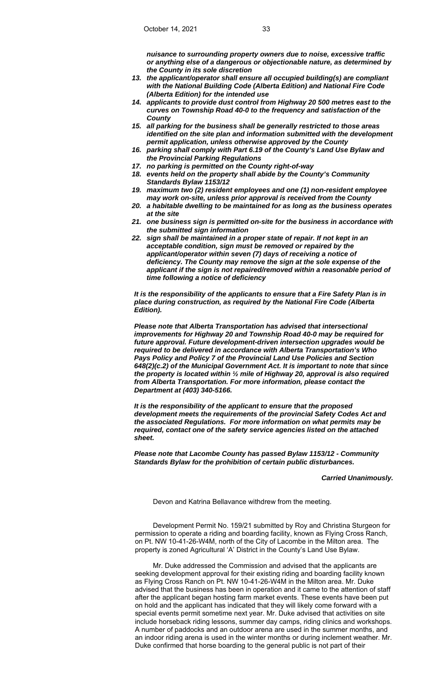*nuisance to surrounding property owners due to noise, excessive traffic or anything else of a dangerous or objectionable nature, as determined by the County in its sole discretion* 

- *13. the applicant/operator shall ensure all occupied building(s) are compliant with the National Building Code (Alberta Edition) and National Fire Code (Alberta Edition) for the intended use*
- *14. applicants to provide dust control from Highway 20 500 metres east to the curves on Township Road 40-0 to the frequency and satisfaction of the County*
- *15. all parking for the business shall be generally restricted to those areas identified on the site plan and information submitted with the development permit application, unless otherwise approved by the County*
- *16. parking shall comply with Part 6.19 of the County's Land Use Bylaw and the Provincial Parking Regulations*
- *17. no parking is permitted on the County right-of-way*
- *18. events held on the property shall abide by the County's Community Standards Bylaw 1153/12*
- *19. maximum two (2) resident employees and one (1) non-resident employee may work on-site, unless prior approval is received from the County*
- *20. a habitable dwelling to be maintained for as long as the business operates at the site*
- *21. one business sign is permitted on-site for the business in accordance with the submitted sign information*
- *22. sign shall be maintained in a proper state of repair. If not kept in an acceptable condition, sign must be removed or repaired by the applicant/operator within seven (7) days of receiving a notice of deficiency. The County may remove the sign at the sole expense of the applicant if the sign is not repaired/removed within a reasonable period of time following a notice of deficiency*

*It is the responsibility of the applicants to ensure that a Fire Safety Plan is in place during construction, as required by the National Fire Code (Alberta Edition).* 

*Please note that Alberta Transportation has advised that intersectional improvements for Highway 20 and Township Road 40-0 may be required for future approval. Future development-driven intersection upgrades would be required to be delivered in accordance with Alberta Transportation's Who Pays Policy and Policy 7 of the Provincial Land Use Policies and Section 648(2)(c.2) of the Municipal Government Act. It is important to note that since the property is located within ½ mile of Highway 20, approval is also required from Alberta Transportation. For more information, please contact the Department at (403) 340-5166.* 

*It is the responsibility of the applicant to ensure that the proposed development meets the requirements of the provincial Safety Codes Act and the associated Regulations. For more information on what permits may be required, contact one of the safety service agencies listed on the attached sheet.* 

*Please note that Lacombe County has passed Bylaw 1153/12 - Community Standards Bylaw for the prohibition of certain public disturbances.* 

# *Carried Unanimously.*

Devon and Katrina Bellavance withdrew from the meeting.

 Development Permit No. 159/21 submitted by Roy and Christina Sturgeon for permission to operate a riding and boarding facility, known as Flying Cross Ranch, on Pt. NW 10-41-26-W4M, north of the City of Lacombe in the Milton area. The property is zoned Agricultural 'A' District in the County's Land Use Bylaw.

 Mr. Duke addressed the Commission and advised that the applicants are seeking development approval for their existing riding and boarding facility known as Flying Cross Ranch on Pt. NW 10-41-26-W4M in the Milton area. Mr. Duke advised that the business has been in operation and it came to the attention of staff after the applicant began hosting farm market events. These events have been put on hold and the applicant has indicated that they will likely come forward with a special events permit sometime next year. Mr. Duke advised that activities on site include horseback riding lessons, summer day camps, riding clinics and workshops. A number of paddocks and an outdoor arena are used in the summer months, and an indoor riding arena is used in the winter months or during inclement weather. Mr. Duke confirmed that horse boarding to the general public is not part of their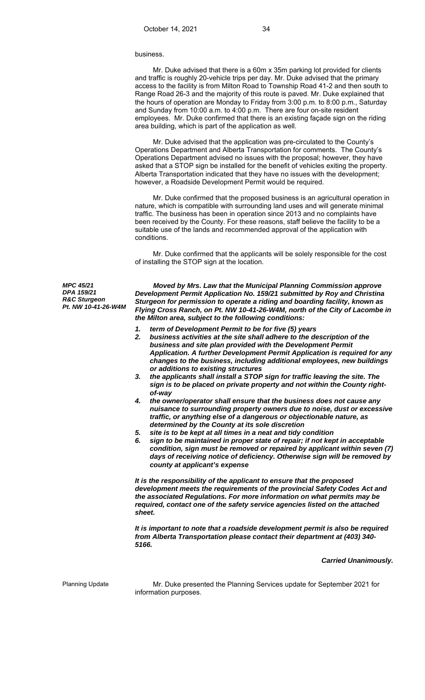#### business.

 Mr. Duke advised that there is a 60m x 35m parking lot provided for clients and traffic is roughly 20-vehicle trips per day. Mr. Duke advised that the primary access to the facility is from Milton Road to Township Road 41-2 and then south to Range Road 26-3 and the majority of this route is paved. Mr. Duke explained that the hours of operation are Monday to Friday from 3:00 p.m. to 8:00 p.m., Saturday and Sunday from 10:00 a.m. to 4:00 p.m. There are four on-site resident employees. Mr. Duke confirmed that there is an existing façade sign on the riding area building, which is part of the application as well.

 Mr. Duke advised that the application was pre-circulated to the County's Operations Department and Alberta Transportation for comments. The County's Operations Department advised no issues with the proposal; however, they have asked that a STOP sign be installed for the benefit of vehicles exiting the property. Alberta Transportation indicated that they have no issues with the development; however, a Roadside Development Permit would be required.

 Mr. Duke confirmed that the proposed business is an agricultural operation in nature, which is compatible with surrounding land uses and will generate minimal traffic. The business has been in operation since 2013 and no complaints have been received by the County. For these reasons, staff believe the facility to be a suitable use of the lands and recommended approval of the application with conditions.

 Mr. Duke confirmed that the applicants will be solely responsible for the cost of installing the STOP sign at the location.

*MPC 45/21 DPA 159/21 R&C Sturgeon Pt. NW 10-41-26-W4M* 

*Moved by Mrs. Law that the Municipal Planning Commission approve Development Permit Application No. 159/21 submitted by Roy and Christina Sturgeon for permission to operate a riding and boarding facility, known as Flying Cross Ranch, on Pt. NW 10-41-26-W4M, north of the City of Lacombe in the Milton area, subject to the following conditions:* 

- *1. term of Development Permit to be for five (5) years*
- *2. business activities at the site shall adhere to the description of the business and site plan provided with the Development Permit Application. A further Development Permit Application is required for any changes to the business, including additional employees, new buildings or additions to existing structures*
- *3. the applicants shall install a STOP sign for traffic leaving the site. The sign is to be placed on private property and not within the County rightof-way*
- *4. the owner/operator shall ensure that the business does not cause any nuisance to surrounding property owners due to noise, dust or excessive traffic, or anything else of a dangerous or objectionable nature, as determined by the County at its sole discretion*
- *5. site is to be kept at all times in a neat and tidy condition*
- *6. sign to be maintained in proper state of repair; if not kept in acceptable condition, sign must be removed or repaired by applicant within seven (7) days of receiving notice of deficiency. Otherwise sign will be removed by county at applicant's expense*

*It is the responsibility of the applicant to ensure that the proposed development meets the requirements of the provincial Safety Codes Act and the associated Regulations. For more information on what permits may be required, contact one of the safety service agencies listed on the attached sheet.* 

*It is important to note that a roadside development permit is also be required from Alberta Transportation please contact their department at (403) 340- 5166.*

### *Carried Unanimously.*

Planning Update **Mr. Duke presented the Planning Services update for September 2021 for** information purposes.